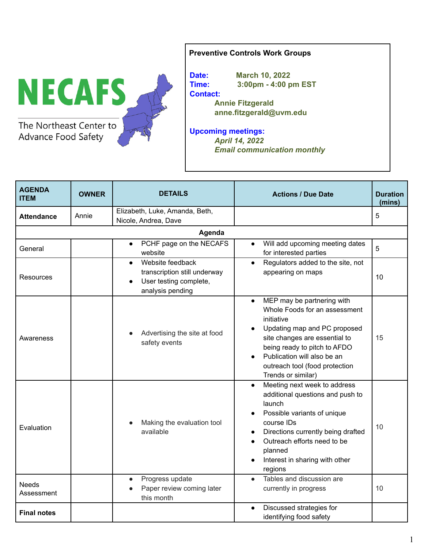

## **Preventive Controls Work Groups**

**Date: March 10, 2022 Time: 3:00pm - 4:00 pm EST Contact: Annie Fitzgerald anne.fitzgerald@uvm.edu**

**Upcoming meetings:** *April 14, 2022 Email communication monthly*

| <b>AGENDA</b><br><b>ITEM</b> | <b>OWNER</b> | <b>DETAILS</b>                                                                                 | <b>Actions / Due Date</b>                                                                                                                                                                                                                                                      | <b>Duration</b><br>(mins) |  |
|------------------------------|--------------|------------------------------------------------------------------------------------------------|--------------------------------------------------------------------------------------------------------------------------------------------------------------------------------------------------------------------------------------------------------------------------------|---------------------------|--|
| <b>Attendance</b>            | Annie        | Elizabeth, Luke, Amanda, Beth,<br>Nicole, Andrea, Dave                                         |                                                                                                                                                                                                                                                                                | 5                         |  |
|                              |              | Agenda                                                                                         |                                                                                                                                                                                                                                                                                |                           |  |
| General                      |              | PCHF page on the NECAFS<br>$\bullet$<br>website                                                | Will add upcoming meeting dates<br>$\bullet$<br>for interested parties                                                                                                                                                                                                         | 5                         |  |
| Resources                    |              | Website feedback<br>transcription still underway<br>User testing complete,<br>analysis pending | Regulators added to the site, not<br>appearing on maps                                                                                                                                                                                                                         | 10                        |  |
| Awareness                    |              | Advertising the site at food<br>safety events                                                  | MEP may be partnering with<br>$\bullet$<br>Whole Foods for an assessment<br>initiative<br>Updating map and PC proposed<br>site changes are essential to<br>being ready to pitch to AFDO<br>Publication will also be an<br>outreach tool (food protection<br>Trends or similar) | 15                        |  |
| Evaluation                   |              | Making the evaluation tool<br>available                                                        | Meeting next week to address<br>additional questions and push to<br>launch<br>Possible variants of unique<br>course IDs<br>Directions currently being drafted<br>Outreach efforts need to be<br>planned<br>Interest in sharing with other<br>regions                           | 10                        |  |
| <b>Needs</b><br>Assessment   |              | Progress update<br>$\bullet$<br>Paper review coming later<br>this month                        | Tables and discussion are<br>$\bullet$<br>currently in progress                                                                                                                                                                                                                | 10                        |  |
| <b>Final notes</b>           |              |                                                                                                | Discussed strategies for<br>$\bullet$<br>identifying food safety                                                                                                                                                                                                               |                           |  |